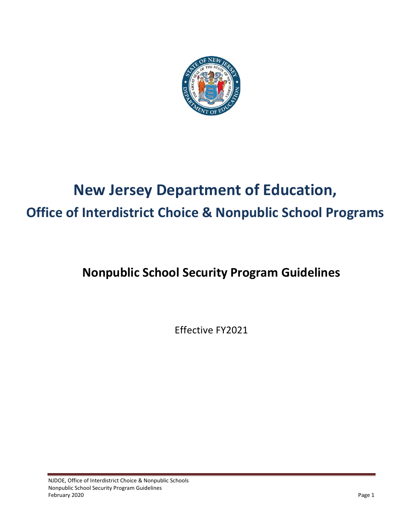

# **New Jersey Department of Education, Office of Interdistrict Choice & Nonpublic School Programs**

# **Nonpublic School Security Program Guidelines**

Effective FY2021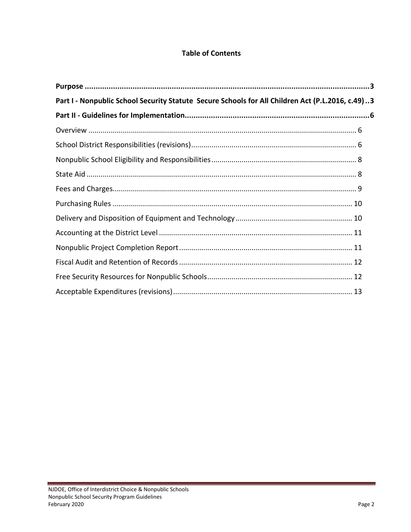# **Table of Contents**

| Part I - Nonpublic School Security Statute Secure Schools for All Children Act (P.L.2016, c.49)3 |  |
|--------------------------------------------------------------------------------------------------|--|
|                                                                                                  |  |
|                                                                                                  |  |
|                                                                                                  |  |
|                                                                                                  |  |
|                                                                                                  |  |
|                                                                                                  |  |
|                                                                                                  |  |
|                                                                                                  |  |
|                                                                                                  |  |
|                                                                                                  |  |
|                                                                                                  |  |
|                                                                                                  |  |
|                                                                                                  |  |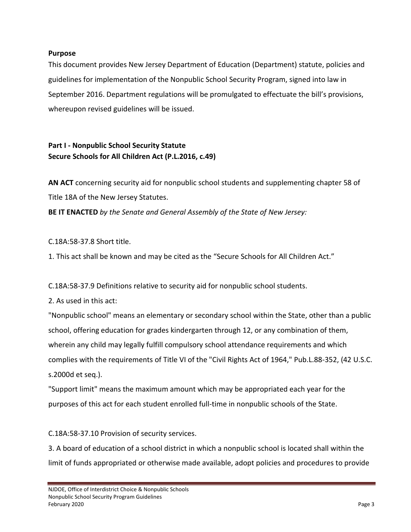#### <span id="page-2-0"></span>**Purpose**

This document provides New Jersey Department of Education (Department) statute, policies and guidelines for implementation of the Nonpublic School Security Program, signed into law in September 2016. Department regulations will be promulgated to effectuate the bill's provisions, whereupon revised guidelines will be issued.

# <span id="page-2-1"></span>**Part I - Nonpublic School Security Statute Secure Schools for All Children Act (P.L.2016, c.49)**

**AN ACT** concerning security aid for nonpublic school students and supplementing chapter 58 of Title 18A of the New Jersey Statutes.

**BE IT ENACTED** *by the Senate and General Assembly of the State of New Jersey:* 

C.18A:58-37.8 Short title.

1. This act shall be known and may be cited as the "Secure Schools for All Children Act."

C.18A:58-37.9 Definitions relative to security aid for nonpublic school students.

2. As used in this act:

"Nonpublic school" means an elementary or secondary school within the State, other than a public school, offering education for grades kindergarten through 12, or any combination of them, wherein any child may legally fulfill compulsory school attendance requirements and which complies with the requirements of Title VI of the "Civil Rights Act of 1964," Pub.L.88-352, (42 U.S.C. s.2000d et seq.).

"Support limit" means the maximum amount which may be appropriated each year for the purposes of this act for each student enrolled full-time in nonpublic schools of the State.

C.18A:58-37.10 Provision of security services.

3. A board of education of a school district in which a nonpublic school is located shall within the limit of funds appropriated or otherwise made available, adopt policies and procedures to provide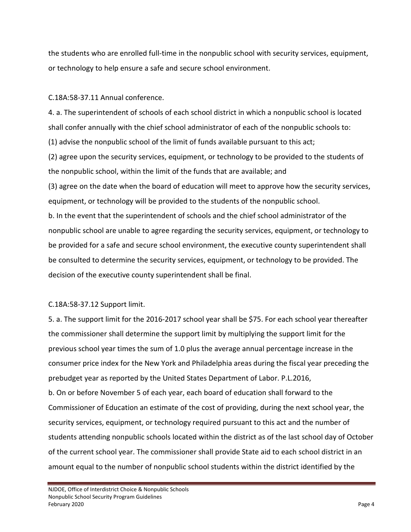the students who are enrolled full-time in the nonpublic school with security services, equipment, or technology to help ensure a safe and secure school environment.

C.18A:58-37.11 Annual conference.

4. a. The superintendent of schools of each school district in which a nonpublic school is located shall confer annually with the chief school administrator of each of the nonpublic schools to: (1) advise the nonpublic school of the limit of funds available pursuant to this act; (2) agree upon the security services, equipment, or technology to be provided to the students of the nonpublic school, within the limit of the funds that are available; and (3) agree on the date when the board of education will meet to approve how the security services, equipment, or technology will be provided to the students of the nonpublic school. b. In the event that the superintendent of schools and the chief school administrator of the nonpublic school are unable to agree regarding the security services, equipment, or technology to be provided for a safe and secure school environment, the executive county superintendent shall be consulted to determine the security services, equipment, or technology to be provided. The decision of the executive county superintendent shall be final.

# C.18A:58-37.12 Support limit.

5. a. The support limit for the 2016-2017 school year shall be \$75. For each school year thereafter the commissioner shall determine the support limit by multiplying the support limit for the previous school year times the sum of 1.0 plus the average annual percentage increase in the consumer price index for the New York and Philadelphia areas during the fiscal year preceding the prebudget year as reported by the United States Department of Labor. P.L.2016, b. On or before November 5 of each year, each board of education shall forward to the Commissioner of Education an estimate of the cost of providing, during the next school year, the security services, equipment, or technology required pursuant to this act and the number of students attending nonpublic schools located within the district as of the last school day of October of the current school year. The commissioner shall provide State aid to each school district in an amount equal to the number of nonpublic school students within the district identified by the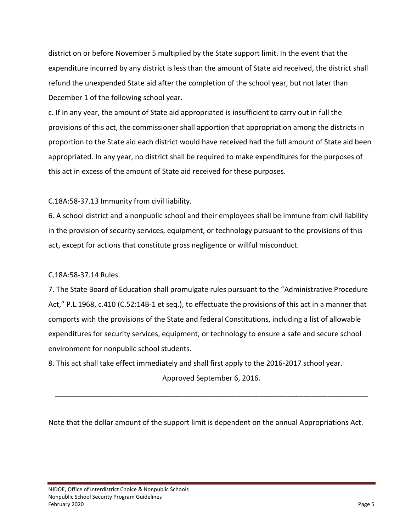district on or before November 5 multiplied by the State support limit. In the event that the expenditure incurred by any district is less than the amount of State aid received, the district shall refund the unexpended State aid after the completion of the school year, but not later than December 1 of the following school year.

c. If in any year, the amount of State aid appropriated is insufficient to carry out in full the provisions of this act, the commissioner shall apportion that appropriation among the districts in proportion to the State aid each district would have received had the full amount of State aid been appropriated. In any year, no district shall be required to make expenditures for the purposes of this act in excess of the amount of State aid received for these purposes.

C.18A:58-37.13 Immunity from civil liability.

6. A school district and a nonpublic school and their employees shall be immune from civil liability in the provision of security services, equipment, or technology pursuant to the provisions of this act, except for actions that constitute gross negligence or willful misconduct.

C.18A:58-37.14 Rules.

7. The State Board of Education shall promulgate rules pursuant to the "Administrative Procedure Act," P.L.1968, c.410 (C.52:14B-1 et seq.), to effectuate the provisions of this act in a manner that comports with the provisions of the State and federal Constitutions, including a list of allowable expenditures for security services, equipment, or technology to ensure a safe and secure school environment for nonpublic school students.

8. This act shall take effect immediately and shall first apply to the 2016-2017 school year.

Approved September 6, 2016.

\_\_\_\_\_\_\_\_\_\_\_\_\_\_\_\_\_\_\_\_\_\_\_\_\_\_\_\_\_\_\_\_\_\_\_\_\_\_\_\_\_\_\_\_\_\_\_\_\_\_\_\_\_\_\_\_\_\_\_\_\_\_\_\_\_\_\_\_\_\_\_\_\_\_\_\_\_\_

Note that the dollar amount of the support limit is dependent on the annual Appropriations Act.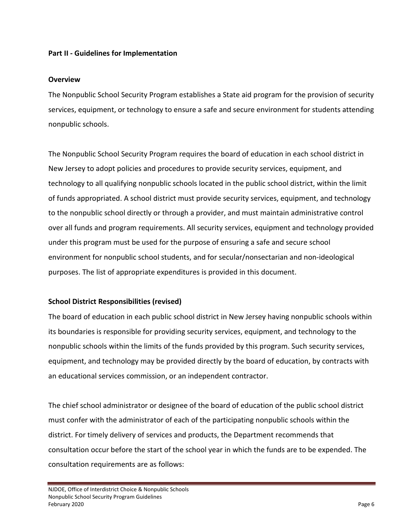#### <span id="page-5-0"></span>**Part II - Guidelines for Implementation**

#### <span id="page-5-1"></span>**Overview**

The Nonpublic School Security Program establishes a State aid program for the provision of security services, equipment, or technology to ensure a safe and secure environment for students attending nonpublic schools.

The Nonpublic School Security Program requires the board of education in each school district in New Jersey to adopt policies and procedures to provide security services, equipment, and technology to all qualifying nonpublic schools located in the public school district, within the limit of funds appropriated. A school district must provide security services, equipment, and technology to the nonpublic school directly or through a provider, and must maintain administrative control over all funds and program requirements. All security services, equipment and technology provided under this program must be used for the purpose of ensuring a safe and secure school environment for nonpublic school students, and for secular/nonsectarian and non-ideological purposes. The list of appropriate expenditures is provided in this document.

#### <span id="page-5-2"></span>**School District Responsibilities (revised)**

The board of education in each public school district in New Jersey having nonpublic schools within its boundaries is responsible for providing security services, equipment, and technology to the nonpublic schools within the limits of the funds provided by this program. Such security services, equipment, and technology may be provided directly by the board of education, by contracts with an educational services commission, or an independent contractor.

The chief school administrator or designee of the board of education of the public school district must confer with the administrator of each of the participating nonpublic schools within the district. For timely delivery of services and products, the Department recommends that consultation occur before the start of the school year in which the funds are to be expended. The consultation requirements are as follows: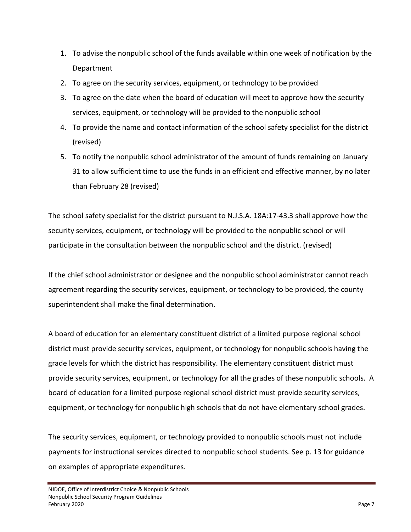- 1. To advise the nonpublic school of the funds available within one week of notification by the Department
- 2. To agree on the security services, equipment, or technology to be provided
- 3. To agree on the date when the board of education will meet to approve how the security services, equipment, or technology will be provided to the nonpublic school
- 4. To provide the name and contact information of the school safety specialist for the district (revised)
- 5. To notify the nonpublic school administrator of the amount of funds remaining on January 31 to allow sufficient time to use the funds in an efficient and effective manner, by no later than February 28 (revised)

The school safety specialist for the district pursuant to N.J.S.A. 18A:17-43.3 shall approve how the security services, equipment, or technology will be provided to the nonpublic school or will participate in the consultation between the nonpublic school and the district. (revised)

If the chief school administrator or designee and the nonpublic school administrator cannot reach agreement regarding the security services, equipment, or technology to be provided, the county superintendent shall make the final determination.

A board of education for an elementary constituent district of a limited purpose regional school district must provide security services, equipment, or technology for nonpublic schools having the grade levels for which the district has responsibility. The elementary constituent district must provide security services, equipment, or technology for all the grades of these nonpublic schools. A board of education for a limited purpose regional school district must provide security services, equipment, or technology for nonpublic high schools that do not have elementary school grades.

The security services, equipment, or technology provided to nonpublic schools must not include payments for instructional services directed to nonpublic school students. See p. 13 for guidance on examples of appropriate expenditures.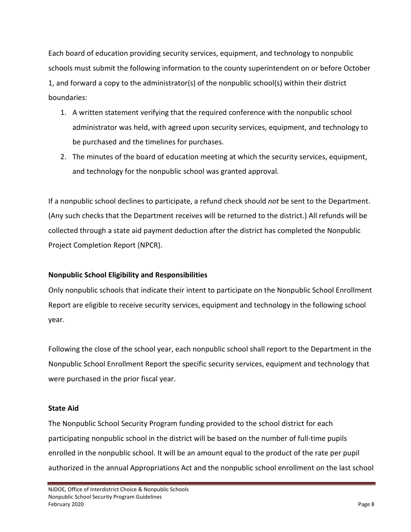Each board of education providing security services, equipment, and technology to nonpublic schools must submit the following information to the county superintendent on or before October 1, and forward a copy to the administrator(s) of the nonpublic school(s) within their district boundaries:

- 1. A written statement verifying that the required conference with the nonpublic school administrator was held, with agreed upon security services, equipment, and technology to be purchased and the timelines for purchases.
- 2. The minutes of the board of education meeting at which the security services, equipment, and technology for the nonpublic school was granted approval.

If a nonpublic school declines to participate, a refund check should *not* be sent to the Department. (Any such checks that the Department receives will be returned to the district.) All refunds will be collected through a state aid payment deduction after the district has completed the Nonpublic Project Completion Report (NPCR).

# <span id="page-7-0"></span>**Nonpublic School Eligibility and Responsibilities**

Only nonpublic schools that indicate their intent to participate on the Nonpublic School Enrollment Report are eligible to receive security services, equipment and technology in the following school year.

Following the close of the school year, each nonpublic school shall report to the Department in the Nonpublic School Enrollment Report the specific security services, equipment and technology that were purchased in the prior fiscal year.

#### <span id="page-7-1"></span>**State Aid**

The Nonpublic School Security Program funding provided to the school district for each participating nonpublic school in the district will be based on the number of full-time pupils enrolled in the nonpublic school. It will be an amount equal to the product of the rate per pupil authorized in the annual Appropriations Act and the nonpublic school enrollment on the last school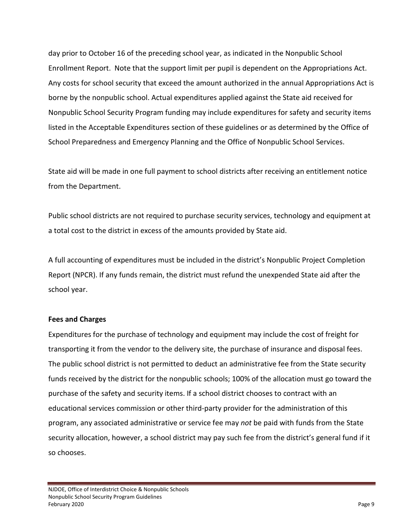day prior to October 16 of the preceding school year, as indicated in the Nonpublic School Enrollment Report. Note that the support limit per pupil is dependent on the Appropriations Act. Any costs for school security that exceed the amount authorized in the annual Appropriations Act is borne by the nonpublic school. Actual expenditures applied against the State aid received for Nonpublic School Security Program funding may include expenditures for safety and security items listed in the Acceptable Expenditures section of these guidelines or as determined by the Office of School Preparedness and Emergency Planning and the Office of Nonpublic School Services.

State aid will be made in one full payment to school districts after receiving an entitlement notice from the Department.

Public school districts are not required to purchase security services, technology and equipment at a total cost to the district in excess of the amounts provided by State aid.

A full accounting of expenditures must be included in the district's Nonpublic Project Completion Report (NPCR). If any funds remain, the district must refund the unexpended State aid after the school year.

#### <span id="page-8-0"></span>**Fees and Charges**

Expenditures for the purchase of technology and equipment may include the cost of freight for transporting it from the vendor to the delivery site, the purchase of insurance and disposal fees. The public school district is not permitted to deduct an administrative fee from the State security funds received by the district for the nonpublic schools; 100% of the allocation must go toward the purchase of the safety and security items. If a school district chooses to contract with an educational services commission or other third-party provider for the administration of this program, any associated administrative or service fee may *not* be paid with funds from the State security allocation, however, a school district may pay such fee from the district's general fund if it so chooses.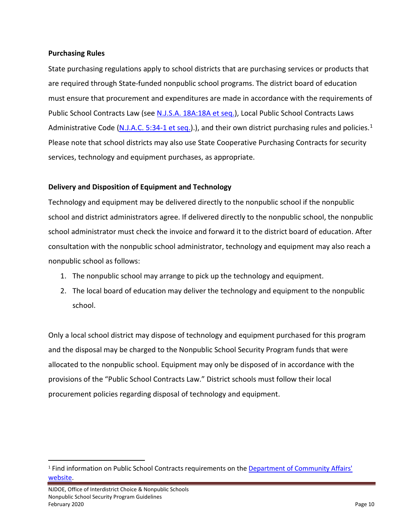#### <span id="page-9-0"></span>**Purchasing Rules**

State purchasing regulations apply to school districts that are purchasing services or products that are required through State-funded nonpublic school programs. The district board of education must ensure that procurement and expenditures are made in accordance with the requirements of Public School Contracts Law (see [N.J.S.A. 18A:18A et seq.\)](http://www.state.nj.us/dca/divisions/dlgs/programs/lpcl_docs/pscl_18a_18a-1.doc), Local Public School Contracts Laws Administrative Code [\(N.J.A.C. 5:34-1 et seq.\)](http://www.state.nj.us/dca/divisions/dlgs/programs/lpcl_docs/njac5_34_1_etseq.pdf).), and their own district purchasing rules and policies.<sup>[1](#page-9-2)</sup> Please note that school districts may also use State Cooperative Purchasing Contracts for security services, technology and equipment purchases, as appropriate.

# <span id="page-9-1"></span>**Delivery and Disposition of Equipment and Technology**

Technology and equipment may be delivered directly to the nonpublic school if the nonpublic school and district administrators agree. If delivered directly to the nonpublic school, the nonpublic school administrator must check the invoice and forward it to the district board of education. After consultation with the nonpublic school administrator, technology and equipment may also reach a nonpublic school as follows:

- 1. The nonpublic school may arrange to pick up the technology and equipment.
- 2. The local board of education may deliver the technology and equipment to the nonpublic school.

Only a local school district may dispose of technology and equipment purchased for this program and the disposal may be charged to the Nonpublic School Security Program funds that were allocated to the nonpublic school. Equipment may only be disposed of in accordance with the provisions of the "Public School Contracts Law." District schools must follow their local procurement policies regarding disposal of technology and equipment.

<span id="page-9-2"></span><sup>&</sup>lt;sup>1</sup> Find information on Public School Contracts requirements on the Department of Community Affairs' [website.](http://www.state.nj.us/dca/divisions/dlgs/programs/lpcl.html)

NJDOE, Office of Interdistrict Choice & Nonpublic Schools Nonpublic School Security Program Guidelines February 2020 Page 10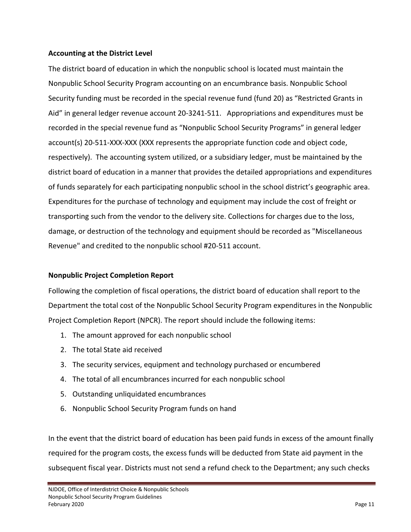#### <span id="page-10-0"></span>**Accounting at the District Level**

The district board of education in which the nonpublic school is located must maintain the Nonpublic School Security Program accounting on an encumbrance basis. Nonpublic School Security funding must be recorded in the special revenue fund (fund 20) as "Restricted Grants in Aid" in general ledger revenue account 20-3241-511. Appropriations and expenditures must be recorded in the special revenue fund as "Nonpublic School Security Programs" in general ledger account(s) 20-511-XXX-XXX (XXX represents the appropriate function code and object code, respectively). The accounting system utilized, or a subsidiary ledger, must be maintained by the district board of education in a manner that provides the detailed appropriations and expenditures of funds separately for each participating nonpublic school in the school district's geographic area. Expenditures for the purchase of technology and equipment may include the cost of freight or transporting such from the vendor to the delivery site. Collections for charges due to the loss, damage, or destruction of the technology and equipment should be recorded as "Miscellaneous Revenue" and credited to the nonpublic school #20-511 account.

#### <span id="page-10-1"></span>**Nonpublic Project Completion Report**

Following the completion of fiscal operations, the district board of education shall report to the Department the total cost of the Nonpublic School Security Program expenditures in the Nonpublic Project Completion Report (NPCR). The report should include the following items:

- 1. The amount approved for each nonpublic school
- 2. The total State aid received
- 3. The security services, equipment and technology purchased or encumbered
- 4. The total of all encumbrances incurred for each nonpublic school
- 5. Outstanding unliquidated encumbrances
- 6. Nonpublic School Security Program funds on hand

In the event that the district board of education has been paid funds in excess of the amount finally required for the program costs, the excess funds will be deducted from State aid payment in the subsequent fiscal year. Districts must not send a refund check to the Department; any such checks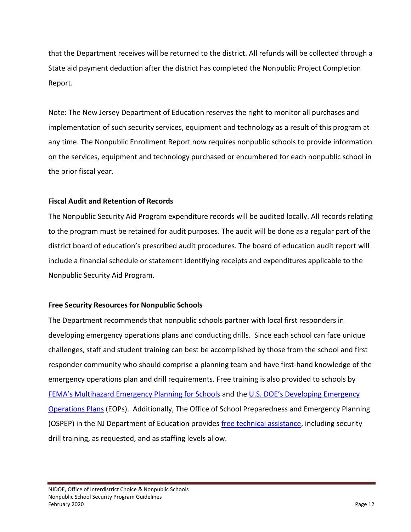that the Department receives will be returned to the district. All refunds will be collected through a State aid payment deduction after the district has completed the Nonpublic Project Completion Report.

Note: The New Jersey Department of Education reserves the right to monitor all purchases and implementation of such security services, equipment and technology as a result of this program at any time. The Nonpublic Enrollment Report now requires nonpublic schools to provide information on the services, equipment and technology purchased or encumbered for each nonpublic school in the prior fiscal year.

# <span id="page-11-0"></span>**Fiscal Audit and Retention of Records**

The Nonpublic Security Aid Program expenditure records will be audited locally. All records relating to the program must be retained for audit purposes. The audit will be done as a regular part of the district board of education's prescribed audit procedures. The board of education audit report will include a financial schedule or statement identifying receipts and expenditures applicable to the Nonpublic Security Aid Program.

# <span id="page-11-1"></span>**Free Security Resources for Nonpublic Schools**

The Department recommends that nonpublic schools partner with local first responders in developing emergency operations plans and conducting drills. Since each school can face unique challenges, staff and student training can best be accomplished by those from the school and first responder community who should comprise a planning team and have first-hand knowledge of the emergency operations plan and drill requirements. Free training is also provided to schools by [FEMA's Multihazard Emergency Planning for Schools](https://training.fema.gov/emicourses/crsdetail.aspx?cid=E361&ctype=R) and the [U.S. DOE's Developing Emergency](http://rems.ed.gov/)  [Operations Plans](http://rems.ed.gov/) (EOPs). Additionally, The Office of School Preparedness and Emergency Planning (OSPEP) in the NJ Department of Education provides [free technical assistance,](http://www.state.nj.us/education/schools/security/) including security drill training, as requested, and as staffing levels allow.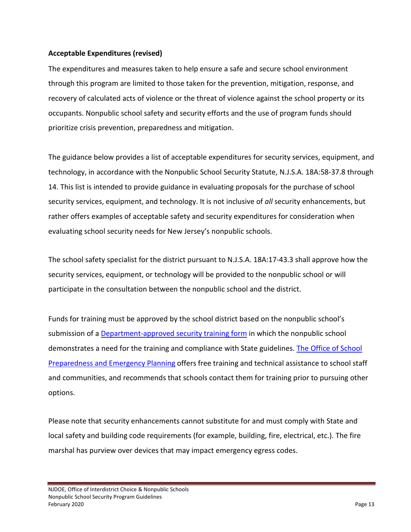#### <span id="page-12-0"></span>**Acceptable Expenditures (revised)**

The expenditures and measures taken to help ensure a safe and secure school environment through this program are limited to those taken for the prevention, mitigation, response, and recovery of calculated acts of violence or the threat of violence against the school property or its occupants. Nonpublic school safety and security efforts and the use of program funds should prioritize crisis prevention, preparedness and mitigation.

The guidance below provides a list of acceptable expenditures for security services, equipment, and technology, in accordance with the Nonpublic School Security Statute, N.J.S.A. 18A:58-37.8 through 14. This list is intended to provide guidance in evaluating proposals for the purchase of school security services, equipment, and technology. It is not inclusive of *all* security enhancements, but rather offers examples of acceptable safety and security expenditures for consideration when evaluating school security needs for New Jersey's nonpublic schools.

The school safety specialist for the district pursuant to N.J.S.A. 18A:17-43.3 shall approve how the security services, equipment, or technology will be provided to the nonpublic school or will participate in the consultation between the nonpublic school and the district.

Funds for training must be approved by the school district based on the nonpublic school's submission of a [Department-approved security training form](https://www.nj.gov/education/nonpublic/forms/SchoolSecurityProgramTrainingRequestForm.pdf) in which the nonpublic school demonstrates a need for the training and compliance with State guidelines. [The Office of School](https://homeroom5.doe.state.nj.us/security/training/)  [Preparedness and Emergency Planning](https://homeroom5.doe.state.nj.us/security/training/) offers free training and technical assistance to school staff and communities, and recommends that schools contact them for training prior to pursuing other options.

Please note that security enhancements cannot substitute for and must comply with State and local safety and building code requirements (for example, building, fire, electrical, etc.). The fire marshal has purview over devices that may impact emergency egress codes.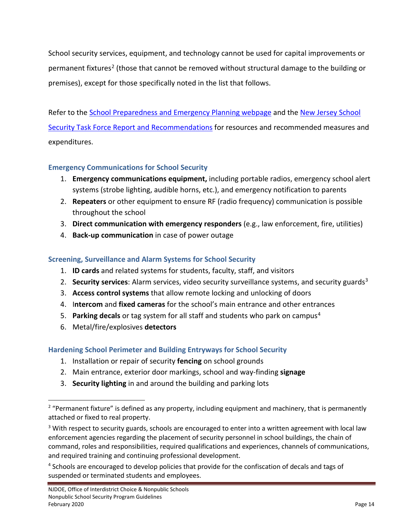School security services, equipment, and technology cannot be used for capital improvements or permanent fixtures<sup>[2](#page-13-0)</sup> (those that cannot be removed without structural damage to the building or premises), except for those specifically noted in the list that follows.

Refer to the [School Preparedness and Emergency Planning webpage](http://www.state.nj.us/education/schools/security/) and the [New Jersey School](http://www.state.nj.us/education/schools/security/TaskForceReport.pdf)  [Security Task Force Report and Recommendations](http://www.state.nj.us/education/schools/security/TaskForceReport.pdf) for resources and recommended measures and expenditures.

# **Emergency Communications for School Security**

- 1. **Emergency communications equipment,** including portable radios, emergency school alert systems (strobe lighting, audible horns, etc.), and emergency notification to parents
- 2. **Repeaters** or other equipment to ensure RF (radio frequency) communication is possible throughout the school
- 3. **Direct communication with emergency responders** (e.g., law enforcement, fire, utilities)
- 4. **Back-up communication** in case of power outage

# **Screening, Surveillance and Alarm Systems for School Security**

- 1. **ID cards** and related systems for students, faculty, staff, and visitors
- 2. **Security services**: Alarm services, video security surveillance systems, and security guard[s3](#page-13-1)
- 3. **Access control systems** that allow remote locking and unlocking of doors
- 4. I**ntercom** and **fixed cameras** for the school's main entrance and other entrances
- 5. **Parking decals** or tag system for all staff and students who park on campus[4](#page-13-2)
- 6. Metal/fire/explosives **detectors**

# **Hardening School Perimeter and Building Entryways for School Security**

- 1. Installation or repair of security **fencing** on school grounds
- 2. Main entrance, exterior door markings, school and way-finding **signage**
- 3. **Security lighting** in and around the building and parking lots

<span id="page-13-0"></span><sup>&</sup>lt;sup>2</sup> "Permanent fixture" is defined as any property, including equipment and machinery, that is permanently attached or fixed to real property.

<span id="page-13-1"></span><sup>&</sup>lt;sup>3</sup> With respect to security guards, schools are encouraged to enter into a written agreement with local law enforcement agencies regarding the placement of security personnel in school buildings, the chain of command, roles and responsibilities, required qualifications and experiences, channels of communications, and required training and continuing professional development.

<span id="page-13-2"></span><sup>&</sup>lt;sup>4</sup> Schools are encouraged to develop policies that provide for the confiscation of decals and tags of suspended or terminated students and employees.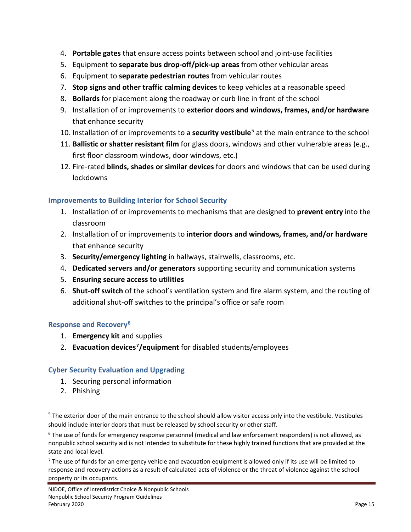- 4. **Portable gates** that ensure access points between school and joint-use facilities
- 5. Equipment to **separate bus drop-off/pick-up areas** from other vehicular areas
- 6. Equipment to **separate pedestrian routes** from vehicular routes
- 7. **Stop signs and other traffic calming devices** to keep vehicles at a reasonable speed
- 8. **Bollards** for placement along the roadway or curb line in front of the school
- 9. Installation of or improvements to **exterior doors and windows, frames, and/or hardware** that enhance security
- 10. Installation of or improvements to a **security vestibule**[5](#page-14-0) at the main entrance to the school
- 11. **Ballistic or shatter resistant film** for glass doors, windows and other vulnerable areas (e.g., first floor classroom windows, door windows, etc.)
- 12. Fire-rated **blinds, shades or similar devices** for doors and windows that can be used during lockdowns

# **Improvements to Building Interior for School Security**

- 1. Installation of or improvements to mechanisms that are designed to **prevent entry** into the classroom
- 2. Installation of or improvements to **interior doors and windows, frames, and/or hardware** that enhance security
- 3. **Security/emergency lighting** in hallways, stairwells, classrooms, etc.
- 4. **Dedicated servers and/or generators** supporting security and communication systems
- 5. **Ensuring secure access to utilities**
- 6. **Shut-off switch** of the school's ventilation system and fire alarm system, and the routing of additional shut-off switches to the principal's office or safe room

#### **Response and Recover[y6](#page-14-1)**

- 1. **Emergency kit** and supplies
- 2. **Evacuation devices[7](#page-14-2)/equipment** for disabled students/employees

# **Cyber Security Evaluation and Upgrading**

- 1. Securing personal information
- 2. Phishing

<span id="page-14-0"></span><sup>&</sup>lt;sup>5</sup> The exterior door of the main entrance to the school should allow visitor access only into the vestibule. Vestibules should include interior doors that must be released by school security or other staff.

<span id="page-14-1"></span><sup>6</sup> The use of funds for emergency response personnel (medical and law enforcement responders) is not allowed, as nonpublic school security aid is not intended to substitute for these highly trained functions that are provided at the state and local level.

<span id="page-14-2"></span> $<sup>7</sup>$  The use of funds for an emergency vehicle and evacuation equipment is allowed only if its use will be limited to</sup> response and recovery actions as a result of calculated acts of violence or the threat of violence against the school property or its occupants.